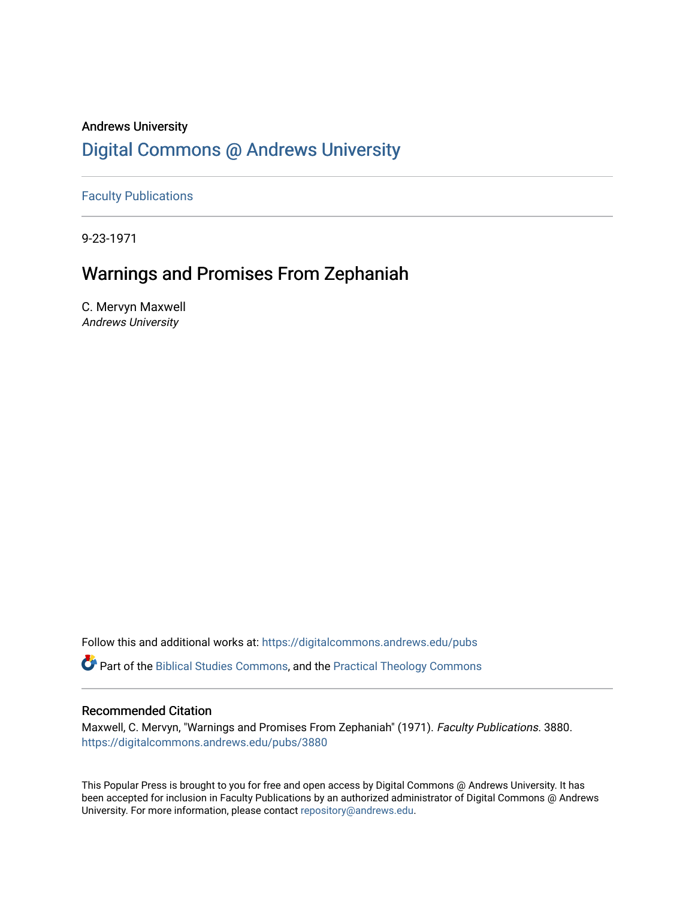# Andrews University [Digital Commons @ Andrews University](https://digitalcommons.andrews.edu/)

[Faculty Publications](https://digitalcommons.andrews.edu/pubs)

9-23-1971

# Warnings and Promises From Zephaniah

C. Mervyn Maxwell Andrews University

Follow this and additional works at: [https://digitalcommons.andrews.edu/pubs](https://digitalcommons.andrews.edu/pubs?utm_source=digitalcommons.andrews.edu%2Fpubs%2F3880&utm_medium=PDF&utm_campaign=PDFCoverPages) 

Part of the [Biblical Studies Commons,](http://network.bepress.com/hgg/discipline/539?utm_source=digitalcommons.andrews.edu%2Fpubs%2F3880&utm_medium=PDF&utm_campaign=PDFCoverPages) and the [Practical Theology Commons](http://network.bepress.com/hgg/discipline/1186?utm_source=digitalcommons.andrews.edu%2Fpubs%2F3880&utm_medium=PDF&utm_campaign=PDFCoverPages) 

### Recommended Citation

Maxwell, C. Mervyn, "Warnings and Promises From Zephaniah" (1971). Faculty Publications. 3880. [https://digitalcommons.andrews.edu/pubs/3880](https://digitalcommons.andrews.edu/pubs/3880?utm_source=digitalcommons.andrews.edu%2Fpubs%2F3880&utm_medium=PDF&utm_campaign=PDFCoverPages) 

This Popular Press is brought to you for free and open access by Digital Commons @ Andrews University. It has been accepted for inclusion in Faculty Publications by an authorized administrator of Digital Commons @ Andrews University. For more information, please contact [repository@andrews.edu](mailto:repository@andrews.edu).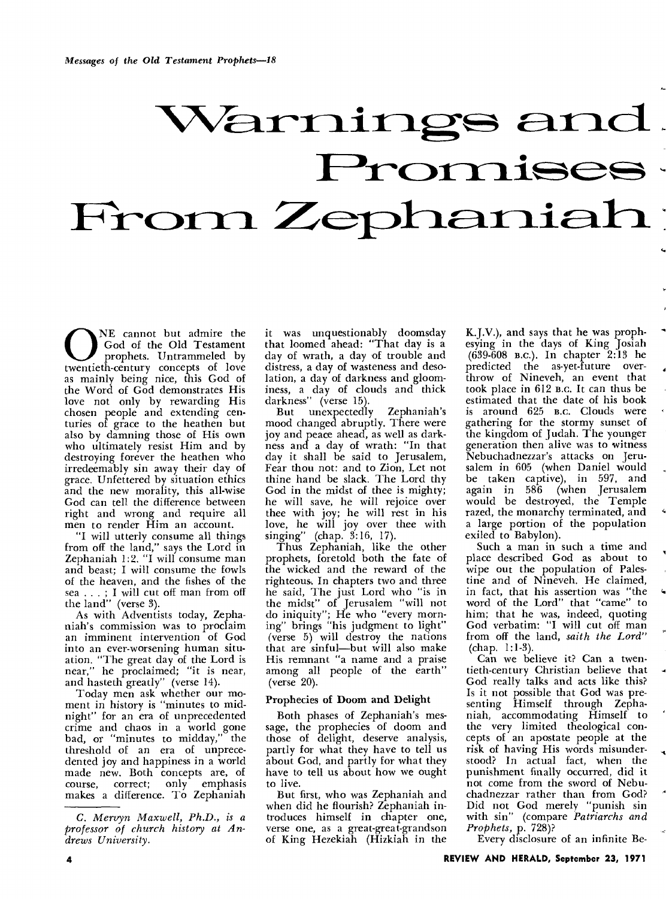# Warnings and . Promises

ONE cannot but admire the God of the Old Testament prophets. Untrammeled by twentieth-century concepts of love God of the Old Testament prophets. Untrammeled by as mainly being nice, this God of the Word of God demonstrates His love not only by rewarding His chosen people and extending centuries of grace to the heathen but also by damning those of His own who ultimately resist Him and by destroying forever the heathen who irredeemably sin away their day of grace. Unfettered by situation ethics and the new morality, this all-wise God can tell the difference between right and wrong and require all men to render Him an account.

"I will utterly consume all things from off the land," says the Lord in Zephaniah 1:2. "I will consume man and beast; I will consume the fowls of the heaven, and the fishes of the sea . . . ; I will cut off man from off the land" (verse 3).

As with Adventists today, Zephaniah's commission was to proclaim an imminent intervention of God into an ever-worsening human situation. "The great day of the Lord is near," he proclaimed; "it is near, and hasteth greatly" (verse 14).

Today men ask whether our moment in history is "minutes to midnight" for an era of unprecedented crime and chaos in a world gone bad, or "minutes to midday," the threshold of an era of unprecedented joy and happiness in a world made new. Both concepts are, of course, correct; only emphasis makes a difference. To Zephaniah it was unquestionably doomsday that loomed ahead: "That day is a day of wrath, a day of trouble and distress, a day of wasteness and desolation, a day of darkness and gloominess, a day of clouds and thick darkness" (verse 15).

But unexpectedly Zephaniah's mood changed abruptly. There were joy and peace ahead, as well as darkness and a day of wrath: "In that day it shall be said to Jerusalem, Fear thou not: and to Zion, Let not thine hand be slack. The Lord thy God in the midst of thee is mighty; he will save, he will rejoice over thee with joy; he will rest in his love, he will joy over thee with singing" (chap. 3:16, 17).

Thus Zephaniah, like the other prophets, foretold both the fate of the wicked and the reward of the righteous. In chapters two and three he said, The just Lord who "is in the midst" of Jerusalem "will not do iniquity"; He who "every morning" brings "his judgment to light" (verse 5) will destroy the nations that are sinful—but will also make His remnant "a name and a praise among all people of the earth" (verse 20).

#### Prophecies of Doom and Delight

Both phases of Zephaniah's message, the prophecies of doom and those of delight, deserve analysis, partly for what they have to tell us about God, and partly for what they have to tell us about how we ought to live.

But first, who was Zephaniah and when did he flourish? Zephaniah introduces himself in chapter one, verse one, as a great-great-grandson of King Hezekiah (Hizkiah in the

K.J.V.), and says that he was prophesying in the days of King Josiah (639-608 B.c.). In chapter 2:13 he predicted the as-yet-future overthrow of Nineveh, an event that took place in 612 B.C. It can thus be estimated that the date of his book is around 625 B.c. Clouds were gathering for the stormy sunset of the kingdom of Judah. The younger generation then alive was to witness Nebuchadnezzar's attacks on Jerusalem in 605 (when Daniel would be taken captive), in 597, and again in 586 (when Jerusalem would be destroyed, the Temple razed, the monarchy terminated, and a large portion of the population exiled to Babylon).

Such a man in such a time and place described God as about to wipe out the population of Palestine and of Nineveh. He claimed, in fact, that his assertion was "the word of the Lord" that "came" to him; that he was, indeed, quoting God verbatim: "I will cut off man from off the land, *saith the Lord"*  (chap. 1:1-3).

Can we believe it? Can a twentieth-century Christian believe that God really talks and acts like this? Is it not possible that God was presenting Himself through Zephaniah, accommodating Himself to the very limited theological concepts of an apostate people at the risk of having His words misunderstood? In actual fact, when the punishment finally occurred, did it not come from the sword of Nebuchadnezzar rather than from God? Did not God merely "punish sin with sin" (compare *Patriarchs and Prophets,* p. 728)?

Every disclosure of an infinite Be-

*C. Mervyn Maxwell, Ph.D., is a professor of church history at Andrews University.*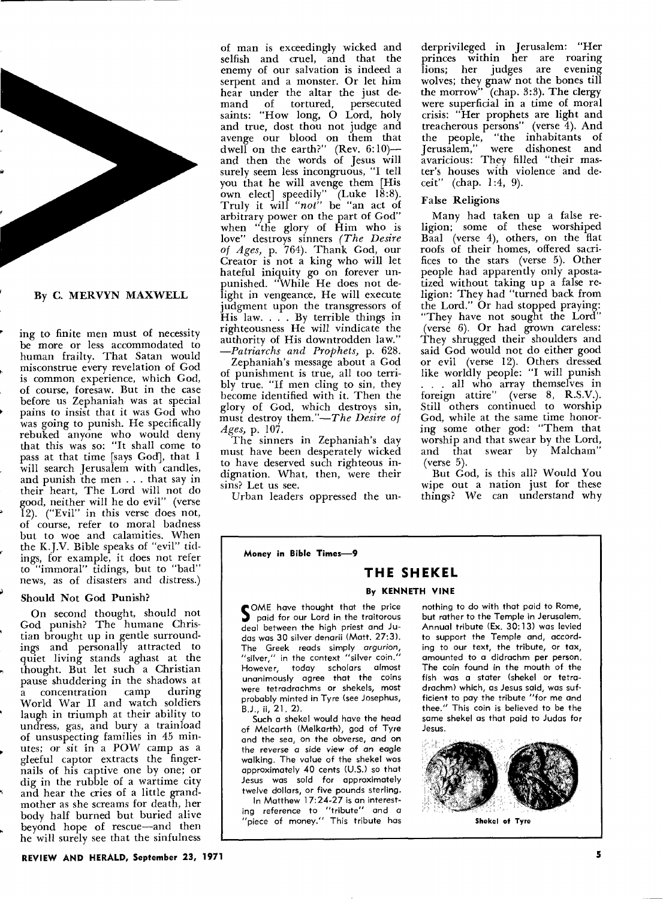

ing **to** finite men must of necessity be more or less accommodated to human frailty. That Satan would misconstrue every revelation of God is common experience, which God, of course, foresaw. But in the case before us Zephaniah was at special pains to insist that it was God who was going to punish. He specifically rebuked anyone who would deny that this was so: "It shall come to pass at that time [says God], that **I**  will search Jerusalem with candles, and punish the men . . . that say in their heart, The Lord will not do good, neither will he do evil" (verse 12). ("Evil" in this verse does not, of course, refer to moral badness but to woe and calamities. When the K.J.V. Bible speaks of "evil" tidings, for example, it does not refer to "immoral" tidings, but to "bad" news, as of disasters and distress.)

#### **Should Not God Punish?**

On second thought, should not God punish? The humane Christian brought up in gentle surroundings and personally attracted to quiet living stands aghast at the thought. But let such a Christian pause shuddering in the shadows at<br>a concentration camp during a concentration World War II and watch soldiers laugh in triumph at their ability to undress, gas, and bury a trainload of unsuspecting families in 45 minutes; or sit in a POW camp as a gleeful captor extracts the fingernails of his captive one by one; or dig in the rubble of a wartime city and hear the cries of a little grandmother as she screams for death, her body half burned but buried alive beyond hope of rescue—and then he will surely see that the sinfulness

of man is exceedingly wicked and selfish and cruel, and that the enemy of our salvation is indeed a serpent and a monster. Or let him hear under the altar the just demand of tortured, persecuted saints: "How long, **0** Lord, holy and true, dost thou not judge and avenge our blood on them that dwell on the earth?" (Rev.  $6:10$ ) and then the words of Jesus will surely seem less incongruous, "I tell you that he will avenge them [His own elect] speedily"  $(Luke 18:8)$ . Truly it will *"not"* be "an act of arbitrary power on the part of God" when "the glory of Him who is love" destroys sinners *(The Desire of Ages,* p. 764). Thank God, our Creator is not a king who will let hateful iniquity go on forever unpunished. "While He does not delight in vengeance, He will execute judgment upon the transgressors of His law. . . . By terrible things in righteousness He will vindicate the authority of His downtrodden law." *—Patriarchs and Prophets,* p. 628.

Zephaniah's message about a God of punishment is true, all too terribly true. "If men cling to sin, they become identified with it. Then the glory of God, which destroys sin, must destroy them."—The *Desire of Ages,* p. 107.

The sinners in Zephaniah's day must have been desperately wicked to have deserved such righteous indignation. What, then, were their sins? Let us see.

Urban leaders oppressed the un-

derprivileged in Jerusalem: "Her princes within her are roaring lions; her judges are evening wolves; they gnaw not the bones till the morrow" (chap. 3:3). The clergy were superficial in a time of moral crisis: "Her prophets are light and treacherous persons" (verse 4). And the people, "the inhabitants of Jerusalem," were dishonest and avaricious: They filled "their master's houses with violence and deceit" (chap. 1:4, 9).

#### False Religions

Many had taken up a false religion; some of these worshiped Baal (verse 4), others, on the flat roofs of their homes, offered sacrifices to the stars (verse 5). Other people had apparently only apostatized without taking up a false religion: They had "turned back from the Lord." Or had stopped praying: "They have not sought the Lord" (verse 6). Or had grown careless: They shrugged their shoulders and said God would not do either good or evil (verse 12). Others dressed like worldly people: "I will punish . . . all who array themselves in foreign attire" (verse 8, R.S.V.). Still others continued to worship God, while at the same time honoring some other god: "Them that worship and that swear by the Lord, and that swear by Malcham" (verse  $5$ ).

But God, is this all? Would You wipe out a nation just for these things? We can understand why

**Money in Bible Times-9** 

## **THE SHEKEL**

#### **By KENNETH VINE**

SOME have thought that the price<br>
paid for our Lord in the traitorous deal between the high priest and Judas was 30 silver denarii (Matt. 27:3). The Greek reads simply *argurion,*  "silver," in the context "silver coin." However, today scholars almost unanimously agree that the coins were tetradrachms or shekels, most probably minted in Tyre (see Josephus, B.J., ii, 21. 2).

Such a shekel would have the head of Melcarth (Melkarth), god of Tyre and the sea, on the obverse, and on the reverse a side *view* of an eagle walking. The value of the shekel was approximately 40 cents (U.S.) so that Jesus was sold for approximately twelve dollars, or five pounds sterling. In Matthew 17:24-27 is an interest-

ing reference to "tribute" and a "piece of money." This tribute has

nothing to do with that paid to Rome, but rather to the Temple in Jerusalem. Annual tribute (Ex. 30:13) was levied to support the Temple and, according to our text, the tribute, or tax, amounted to a didrachm per person. The coin found in the mouth of the fish was a stater (shekel or tetradrachm) which, as Jesus said, was sufficient to pay the tribute "for me and thee." This coin is believed to be the same shekel as that paid to Judas for Jesus.



**Shekel of Tyre** 

**REVIEW AND HERALD, September 23, 1971**